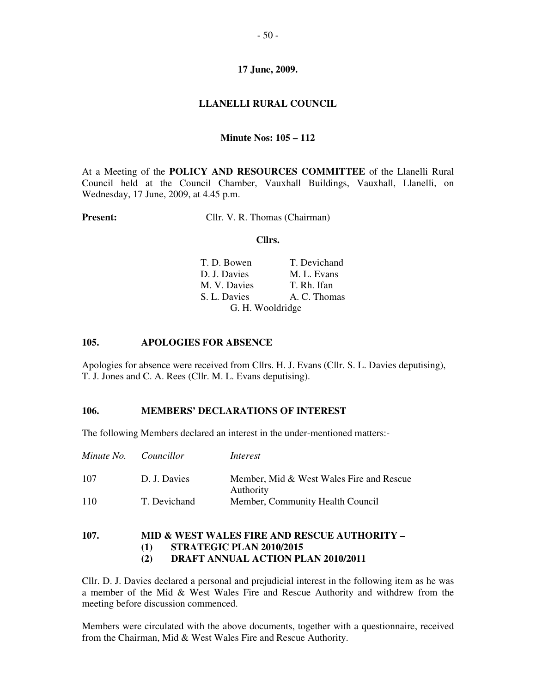## **LLANELLI RURAL COUNCIL**

### **Minute Nos: 105 – 112**

At a Meeting of the **POLICY AND RESOURCES COMMITTEE** of the Llanelli Rural Council held at the Council Chamber, Vauxhall Buildings, Vauxhall, Llanelli, on Wednesday, 17 June, 2009, at 4.45 p.m.

**Present:** Cllr. V. R. Thomas (Chairman)

#### **Cllrs.**

| T. D. Bowen      | T. Devichand |
|------------------|--------------|
| D. J. Davies     | M. L. Evans  |
| M. V. Davies     | T. Rh. Ifan  |
| S. L. Davies     | A. C. Thomas |
| G. H. Wooldridge |              |

#### **105. APOLOGIES FOR ABSENCE**

Apologies for absence were received from Cllrs. H. J. Evans (Cllr. S. L. Davies deputising), T. J. Jones and C. A. Rees (Cllr. M. L. Evans deputising).

## **106. MEMBERS' DECLARATIONS OF INTEREST**

The following Members declared an interest in the under-mentioned matters:-

| Minute No. | Councillor   | Interest                                              |
|------------|--------------|-------------------------------------------------------|
| 107        | D. J. Davies | Member, Mid & West Wales Fire and Rescue<br>Authority |
| 110        | T. Devichand | Member, Community Health Council                      |

## **107. MID & WEST WALES FIRE AND RESCUE AUTHORITY – (1) STRATEGIC PLAN 2010/2015 (2) DRAFT ANNUAL ACTION PLAN 2010/2011**

Cllr. D. J. Davies declared a personal and prejudicial interest in the following item as he was a member of the Mid & West Wales Fire and Rescue Authority and withdrew from the meeting before discussion commenced.

Members were circulated with the above documents, together with a questionnaire, received from the Chairman, Mid & West Wales Fire and Rescue Authority.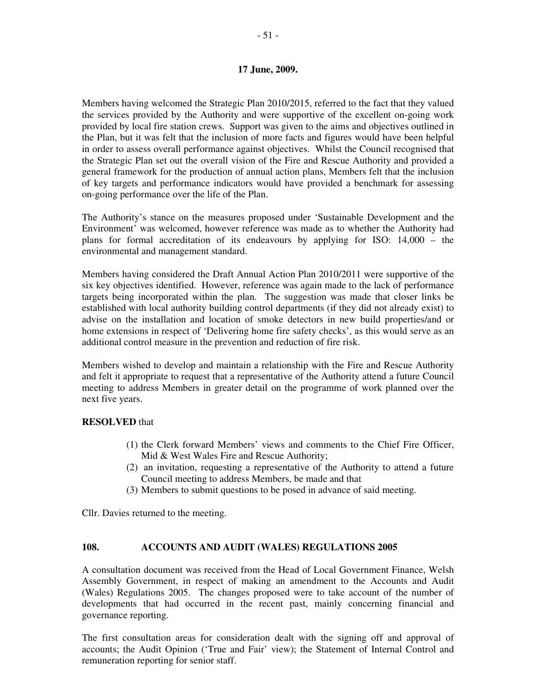Members having welcomed the Strategic Plan 2010/2015, referred to the fact that they valued the services provided by the Authority and were supportive of the excellent on-going work provided by local fire station crews. Support was given to the aims and objectives outlined in the Plan, but it was felt that the inclusion of more facts and figures would have been helpful in order to assess overall performance against objectives. Whilst the Council recognised that the Strategic Plan set out the overall vision of the Fire and Rescue Authority and provided a general framework for the production of annual action plans, Members felt that the inclusion of key targets and performance indicators would have provided a benchmark for assessing on-going performance over the life of the Plan.

The Authority's stance on the measures proposed under 'Sustainable Development and the Environment' was welcomed, however reference was made as to whether the Authority had plans for formal accreditation of its endeavours by applying for ISO: 14,000 – the environmental and management standard.

Members having considered the Draft Annual Action Plan 2010/2011 were supportive of the six key objectives identified. However, reference was again made to the lack of performance targets being incorporated within the plan. The suggestion was made that closer links be established with local authority building control departments (if they did not already exist) to advise on the installation and location of smoke detectors in new build properties/and or home extensions in respect of 'Delivering home fire safety checks', as this would serve as an additional control measure in the prevention and reduction of fire risk.

Members wished to develop and maintain a relationship with the Fire and Rescue Authority and felt it appropriate to request that a representative of the Authority attend a future Council meeting to address Members in greater detail on the programme of work planned over the next five years.

### **RESOLVED** that

- (1) the Clerk forward Members' views and comments to the Chief Fire Officer, Mid & West Wales Fire and Rescue Authority;
- (2) an invitation, requesting a representative of the Authority to attend a future Council meeting to address Members, be made and that
- (3) Members to submit questions to be posed in advance of said meeting.

Cllr. Davies returned to the meeting.

### **108. ACCOUNTS AND AUDIT (WALES) REGULATIONS 2005**

A consultation document was received from the Head of Local Government Finance, Welsh Assembly Government, in respect of making an amendment to the Accounts and Audit (Wales) Regulations 2005. The changes proposed were to take account of the number of developments that had occurred in the recent past, mainly concerning financial and governance reporting.

The first consultation areas for consideration dealt with the signing off and approval of accounts; the Audit Opinion ('True and Fair' view); the Statement of Internal Control and remuneration reporting for senior staff.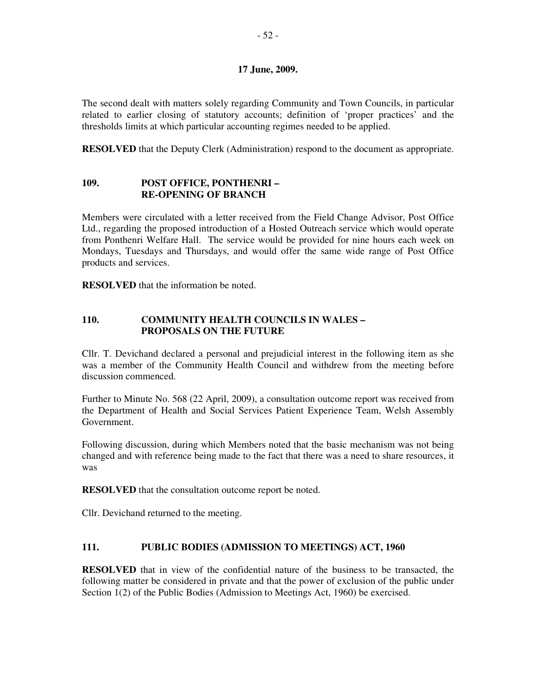The second dealt with matters solely regarding Community and Town Councils, in particular related to earlier closing of statutory accounts; definition of 'proper practices' and the thresholds limits at which particular accounting regimes needed to be applied.

**RESOLVED** that the Deputy Clerk (Administration) respond to the document as appropriate.

# **109. POST OFFICE, PONTHENRI – RE-OPENING OF BRANCH**

Members were circulated with a letter received from the Field Change Advisor, Post Office Ltd., regarding the proposed introduction of a Hosted Outreach service which would operate from Ponthenri Welfare Hall. The service would be provided for nine hours each week on Mondays, Tuesdays and Thursdays, and would offer the same wide range of Post Office products and services.

**RESOLVED** that the information be noted.

## **110. COMMUNITY HEALTH COUNCILS IN WALES – PROPOSALS ON THE FUTURE**

Cllr. T. Devichand declared a personal and prejudicial interest in the following item as she was a member of the Community Health Council and withdrew from the meeting before discussion commenced.

Further to Minute No. 568 (22 April, 2009), a consultation outcome report was received from the Department of Health and Social Services Patient Experience Team, Welsh Assembly Government.

Following discussion, during which Members noted that the basic mechanism was not being changed and with reference being made to the fact that there was a need to share resources, it was

**RESOLVED** that the consultation outcome report be noted.

Cllr. Devichand returned to the meeting.

## **111. PUBLIC BODIES (ADMISSION TO MEETINGS) ACT, 1960**

**RESOLVED** that in view of the confidential nature of the business to be transacted, the following matter be considered in private and that the power of exclusion of the public under Section 1(2) of the Public Bodies (Admission to Meetings Act, 1960) be exercised.